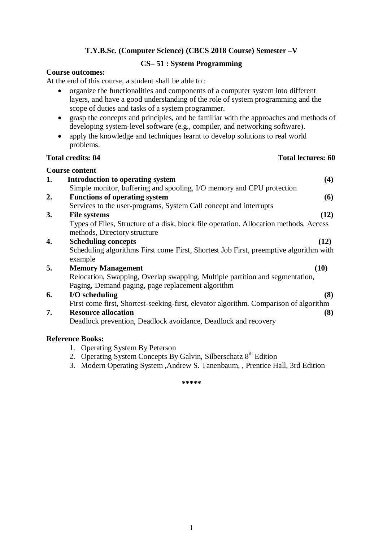# **CS– 51 : System Programming**

### **Course outcomes:**

At the end of this course, a student shall be able to :

- organize the functionalities and components of a computer system into different layers, and have a good understanding of the role of system programming and the scope of duties and tasks of a system programmer.
- grasp the concepts and principles, and be familiar with the approaches and methods of developing system-level software (e.g., compiler, and networking software).
- apply the knowledge and techniques learnt to develop solutions to real world problems.

#### **Total credits: 04 Total lectures: 60**

|    | <b>Course content</b>                                                                                                             |
|----|-----------------------------------------------------------------------------------------------------------------------------------|
| 1. | Introduction to operating system<br>(4)                                                                                           |
|    | Simple monitor, buffering and spooling, I/O memory and CPU protection                                                             |
| 2. | <b>Functions of operating system</b><br>(6)                                                                                       |
|    | Services to the user-programs, System Call concept and interrupts                                                                 |
| 3. | (12)<br><b>File systems</b>                                                                                                       |
|    | Types of Files, Structure of a disk, block file operation. Allocation methods, Access<br>methods, Directory structure             |
| 4. | <b>Scheduling concepts</b><br>(12)                                                                                                |
|    | Scheduling algorithms First come First, Shortest Job First, preemptive algorithm with<br>example                                  |
| 5. | (10)<br><b>Memory Management</b>                                                                                                  |
|    | Relocation, Swapping, Overlap swapping, Multiple partition and segmentation,<br>Paging, Demand paging, page replacement algorithm |
| 6. | I/O scheduling<br>(8)                                                                                                             |
|    | First come first, Shortest-seeking-first, elevator algorithm. Comparison of algorithm                                             |
| 7. | <b>Resource allocation</b><br>(8)                                                                                                 |
|    | Deadlock prevention, Deadlock avoidance, Deadlock and recovery                                                                    |
|    | <b>Reference Books:</b>                                                                                                           |

- 1. Operating System By Peterson
- 2. Operating System Concepts By Galvin, Silberschatz  $8<sup>th</sup>$  Edition
- 3. Modern Operating System ,Andrew S. Tanenbaum, , Prentice Hall, 3rd Edition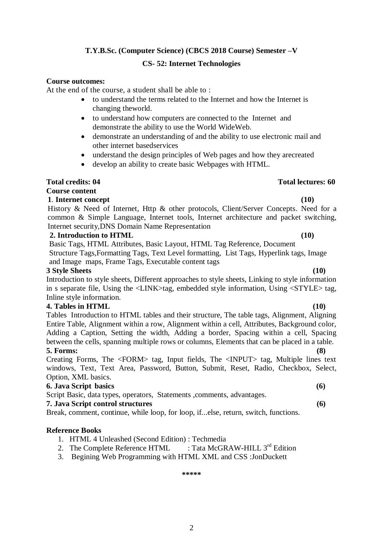# **T.Y.B.Sc. (Computer Science) (CBCS 2018 Course) Semester –V CS- 52: Internet Technologies**

### **Course outcomes:**

At the end of the course, a student shall be able to :

- to understand the terms related to the Internet and how the Internet is changing theworld.
- to understand how computers are connected to the Internet and demonstrate the ability to use the World WideWeb.
- demonstrate an understanding of and the ability to use electronic mail and other internet basedservices
- understand the design principles of Web pages and how they arecreated
- develop an ability to create basic Webpages with HTML.

# **Total credits: 04 Total lectures: 60**

### **Course content**

# **1**. **Internet concept (10)**

History & Need of Internet, Http & other protocols, Client/Server Concepts. Need for a common & Simple Language, Internet tools, Internet architecture and packet switching, Internet security,DNS Domain Name Representation

# **2. Introduction to HTML (10)**

Basic Tags, HTML Attributes, Basic Layout, HTML Tag Reference, Document Structure Tags,Formatting Tags, Text Level formatting, List Tags, Hyperlink tags, Image and Image maps, Frame Tags, Executable content tags

### **3 Style Sheets (10)**

Introduction to style sheets, Different approaches to style sheets, Linking to style information in s separate file, Using the <LINK>tag, embedded style information, Using <STYLE> tag, Inline style information.

### **4. Tables in HTML (10)**

Tables Introduction to HTML tables and their structure, The table tags, Alignment, Aligning Entire Table, Alignment within a row, Alignment within a cell, Attributes, Background color, Adding a Caption, Setting the width, Adding a border, Spacing within a cell, Spacing between the cells, spanning multiple rows or columns, Elements that can be placed in a table. **5. Forms: (8)**

Creating Forms, The <FORM> tag, Input fields, The <INPUT> tag, Multiple lines text windows, Text, Text Area, Password, Button, Submit, Reset, Radio, Checkbox, Select, Option, XML basics.

# **6. Java Script basics (6)**

Script Basic, data types, operators, Statements , comments, advantages.

### **7. Java Script control structures (6)**

Break, comment, continue, while loop, for loop, if...else, return, switch, functions.

### **Reference Books**

1. HTML 4 Unleashed (Second Edition) : Techmedia

2. The Complete Reference HTML : Tata McGRAW-HILL  $3^{rd}$  Edition

3. Begining Web Programming with HTML XML and CSS :JonDuckett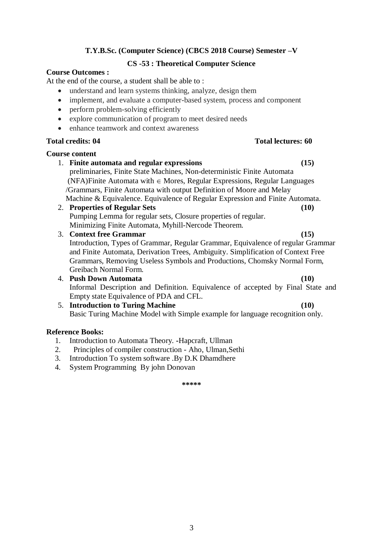# **CS -53 : Theoretical Computer Science**

### **Course Outcomes :**

At the end of the course, a student shall be able to :

- understand and learn systems thinking, analyze, design them
- implement, and evaluate a computer-based system, process and component
- perform problem-solving efficiently
- explore communication of program to meet desired needs
- enhance teamwork and context awareness

# **Total credits: 04 Total lectures: 60**

### **Course content**

- 1. **Finite automata and regular expressions (15)** preliminaries, Finite State Machines, Non-deterministic Finite Automata (NFA)Finite Automata with  $\in$  Mores, Regular Expressions, Regular Languages /Grammars, Finite Automata with output Definition of Moore and Melay
- Machine & Equivalence. Equivalence of Regular Expression and Finite Automata.
- 2. **Properties of Regular Sets (10)**  Pumping Lemma for regular sets, Closure properties of regular. Minimizing Finite Automata, Myhill-Nercode Theorem.
- 3. **Context free Grammar (15)** Introduction, Types of Grammar, Regular Grammar, Equivalence of regular Grammar and Finite Automata, Derivation Trees, Ambiguity. Simplification of Context Free Grammars, Removing Useless Symbols and Productions, Chomsky Normal Form, Greibach Normal Form.
- 4. **Push Down Automata (10)** Informal Description and Definition. Equivalence of accepted by Final State and Empty state Equivalence of PDA and CFL.
- 5. **Introduction to Turing Machine (10)**  Basic Turing Machine Model with Simple example for language recognition only.

### **Reference Books:**

- 1. Introduction to Automata Theory. **-**Hapcraft, Ullman
- 2. Principles of compiler construction Aho, Ulman,Sethi
- 3. Introduction To system software .By D.K Dhamdhere
- 4. System Programming By john Donovan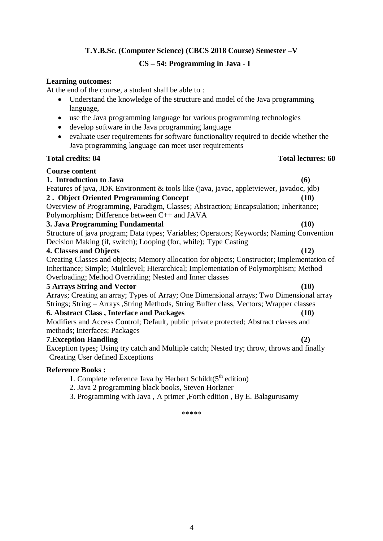# **CS – 54: Programming in Java - I**

### **Learning outcomes:**

At the end of the course, a student shall be able to :

- Understand the knowledge of the structure and model of the Java programming language,
- use the Java programming language for various programming technologies
- develop software in the Java programming language
- evaluate user requirements for software functionality required to decide whether the Java programming language can meet user requirements

# **Total credits: 04** Total lectures: 60

# **Course content**

# **1. Introduction to Java (6)**

Features of java, JDK Environment & tools like (java, javac, appletviewer, javadoc, jdb)

# **2 . Object Oriented Programming Concept (10)**

Overview of Programming, Paradigm, Classes; Abstraction; Encapsulation; Inheritance; Polymorphism; Difference between C++ and JAVA

# **3. Java Programming Fundamental (10)**

Structure of java program; Data types; Variables; Operators; Keywords; Naming Convention Decision Making (if, switch); Looping (for, while); Type Casting

# **4. Classes and Objects (12)**

Creating Classes and objects; Memory allocation for objects; Constructor; Implementation of Inheritance; Simple; Multilevel; Hierarchical; Implementation of Polymorphism; Method Overloading; Method Overriding; Nested and Inner classes

# **5 Arrays String and Vector (10)**

Arrays; Creating an array; Types of Array; One Dimensional arrays; Two Dimensional array Strings; String – Arrays ,String Methods, String Buffer class, Vectors; Wrapper classes **6. Abstract Class , Interface and Packages (10)**

Modifiers and Access Control; Default, public private protected; Abstract classes and methods; Interfaces; Packages

# **7.Exception Handling (2)**

Exception types; Using try catch and Multiple catch; Nested try; throw, throws and finally Creating User defined Exceptions

# **Reference Books :**

- 1. Complete reference Java by Herbert Schildt( $5<sup>th</sup>$  edition)
- 2. Java 2 programming black books, Steven Horlzner
- 3. Programming with Java , A primer ,Forth edition , By E. Balagurusamy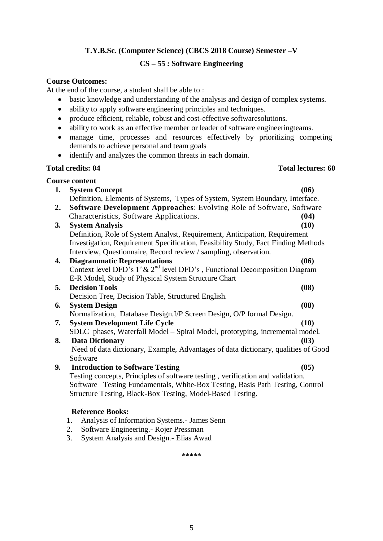# **CS – 55 : Software Engineering**

### **Course Outcomes:**

At the end of the course, a student shall be able to :

- basic knowledge and understanding of the analysis and design of complex systems.
- ability to apply software engineering principles and techniques.
- produce efficient, reliable, robust and cost-effective softwaresolutions.
- ability to work as an effective member or leader of software engineeringteams.
- manage time, processes and resources effectively by prioritizing competing demands to achieve personal and team goals
- identify and analyzes the common threats in each domain.

### **Total credits: 04 Total lectures: 60**

# **Course content**

**1. System Concept (06)** Definition, Elements of Systems, Types of System, System Boundary, Interface. **2. Software Development Approaches**: Evolving Role of Software, Software Characteristics, Software Applications. **(04) 3. System Analysis (10)** Definition, Role of System Analyst, Requirement, Anticipation, Requirement Investigation, Requirement Specification, Feasibility Study, Fact Finding Methods Interview, Questionnaire, Record review / sampling, observation. **4. Diagrammatic Representations (06)** Context level DFD's  $1^{st}$ &  $2^{nd}$  level DFD's, Functional Decomposition Diagram E-R Model, Study of Physical System Structure Chart **5. Decision Tools (08)** Decision Tree, Decision Table, Structured English. **6. System Design (08)** Normalization, Database Design.I/P Screen Design, O/P formal Design. **7. System Development Life Cycle (10)** SDLC phases, Waterfall Model – Spiral Model, prototyping, incremental model. **8. Data Dictionary (03)** Need of data dictionary, Example, Advantages of data dictionary, qualities of Good Software

**9. Introduction to Software Testing (05)** Testing concepts, Principles of software testing , verification and validation. Software Testing Fundamentals, White-Box Testing, Basis Path Testing, Control Structure Testing, Black-Box Testing, Model-Based Testing.

### **Reference Books:**

- 1. Analysis of Information Systems.- James Senn
- 2. Software Engineering.- Rojer Pressman
- 3. System Analysis and Design.- Elias Awad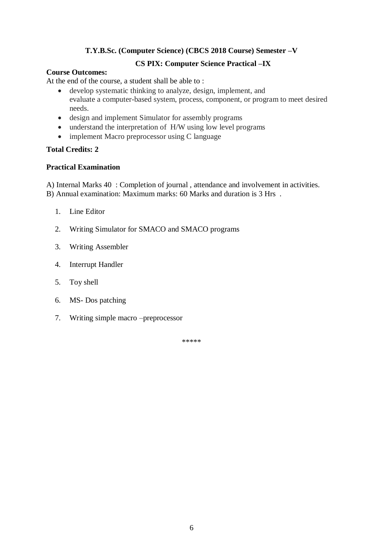# **CS PIX: Computer Science Practical –IX**

### **Course Outcomes:**

At the end of the course, a student shall be able to :

- develop systematic thinking to analyze, design, implement, and evaluate a computer-based system, process, component, or program to meet desired needs.
- design and implement Simulator for assembly programs
- understand the interpretation of H/W using low level programs
- implement Macro preprocessor using C language

# **Total Credits: 2**

# **Practical Examination**

A) Internal Marks 40 : Completion of journal , attendance and involvement in activities. B) Annual examination: Maximum marks: 60 Marks and duration is 3 Hrs .

- 1. Line Editor
- 2. Writing Simulator for SMACO and SMACO programs
- 3. Writing Assembler
- 4. Interrupt Handler
- 5. Toy shell
- 6. MS- Dos patching
- 7. Writing simple macro –preprocessor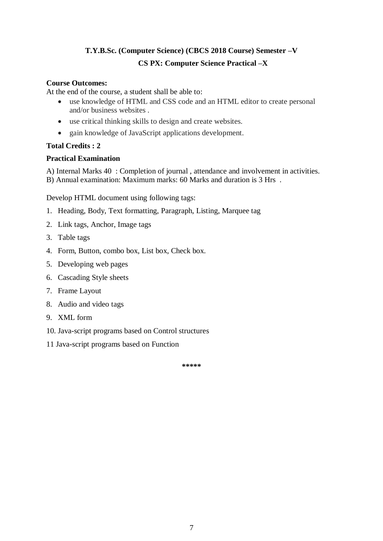# **T.Y.B.Sc. (Computer Science) (CBCS 2018 Course) Semester –V CS PX: Computer Science Practical –X**

# **Course Outcomes:**

At the end of the course, a student shall be able to:

- use knowledge of HTML and CSS code and an HTML editor to create personal and/or business websites .
- use critical thinking skills to design and create websites.
- gain knowledge of JavaScript applications development.

# **Total Credits : 2**

# **Practical Examination**

A) Internal Marks 40 : Completion of journal , attendance and involvement in activities. B) Annual examination: Maximum marks: 60 Marks and duration is 3 Hrs .

Develop HTML document using following tags:

- 1. Heading, Body, Text formatting, Paragraph, Listing, Marquee tag
- 2. Link tags, Anchor, Image tags
- 3. Table tags
- 4. Form, Button, combo box, List box, Check box.
- 5. Developing web pages
- 6. Cascading Style sheets
- 7. Frame Layout
- 8. Audio and video tags
- 9. XML form
- 10. Java-script programs based on Control structures
- 11 Java-script programs based on Function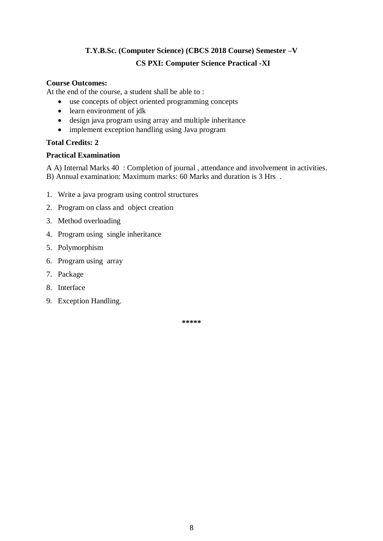# **T.Y.B.Sc. (Computer Science) (CBCS 2018 Course) Semester –V CS PXI: Computer Science Practical -XI**

# **Course Outcomes:**

At the end of the course, a student shall be able to :

- use concepts of object oriented programming concepts
- learn environment of jdk
- design java program using array and multiple inheritance
- implement exception handling using Java program

# **Total Credits: 2**

# **Practical Examination**

A A) Internal Marks 40 : Completion of journal , attendance and involvement in activities. B) Annual examination: Maximum marks: 60 Marks and duration is 3 Hrs .

- 1. Write a java program using control structures
- 2. Program on class and object creation
- 3. Method overloading
- 4. Program using single inheritance
- 5. Polymorphism
- 6. Program using array
- 7. Package
- 8. Interface
- 9. Exception Handling.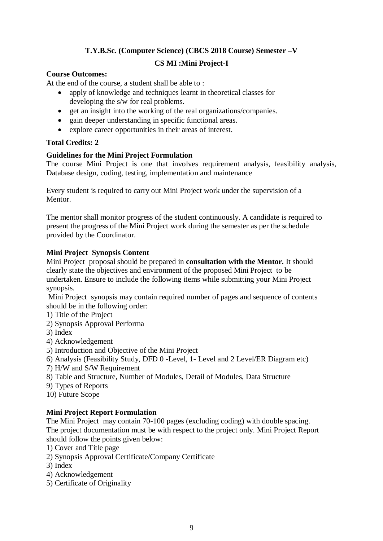# **T.Y.B.Sc. (Computer Science) (CBCS 2018 Course) Semester –V CS MI :Mini Project-I**

# **Course Outcomes:**

At the end of the course, a student shall be able to :

- apply of knowledge and techniques learnt in theoretical classes for developing the s/w for real problems.
- get an insight into the working of the real organizations/companies.
- gain deeper understanding in specific functional areas.
- explore career opportunities in their areas of interest.

# **Total Credits: 2**

# **Guidelines for the Mini Project Formulation**

The course Mini Project is one that involves requirement analysis, feasibility analysis, Database design, coding, testing, implementation and maintenance

Every student is required to carry out Mini Project work under the supervision of a Mentor.

The mentor shall monitor progress of the student continuously. A candidate is required to present the progress of the Mini Project work during the semester as per the schedule provided by the Coordinator.

# **Mini Project Synopsis Content**

Mini Project proposal should be prepared in **consultation with the Mentor.** It should clearly state the objectives and environment of the proposed Mini Project to be undertaken. Ensure to include the following items while submitting your Mini Project synopsis.

Mini Project synopsis may contain required number of pages and sequence of contents should be in the following order:

- 1) Title of the Project
- 2) Synopsis Approval Performa

3) Index

- 4) Acknowledgement
- 5) Introduction and Objective of the Mini Project
- 6) Analysis (Feasibility Study, DFD 0 -Level, 1- Level and 2 Level/ER Diagram etc)
- 7) H/W and S/W Requirement
- 8) Table and Structure, Number of Modules, Detail of Modules, Data Structure
- 9) Types of Reports
- 10) Future Scope

# **Mini Project Report Formulation**

The Mini Project may contain 70-100 pages (excluding coding) with double spacing. The project documentation must be with respect to the project only. Mini Project Report should follow the points given below:

- 1) Cover and Title page
- 2) Synopsis Approval Certificate/Company Certificate
- 3) Index
- 4) Acknowledgement
- 5) Certificate of Originality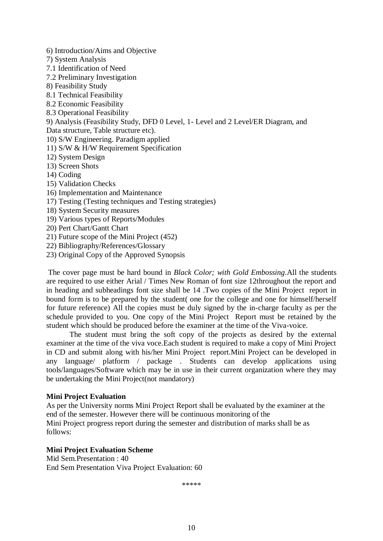6) Introduction/Aims and Objective

- 7) System Analysis
- 7.1 Identification of Need
- 7.2 Preliminary Investigation
- 8) Feasibility Study
- 8.1 Technical Feasibility
- 8.2 Economic Feasibility
- 8.3 Operational Feasibility

9) Analysis (Feasibility Study, DFD 0 Level, 1- Level and 2 Level/ER Diagram, and Data structure, Table structure etc).

- 10) S/W Engineering. Paradigm applied
- 11) S/W & H/W Requirement Specification
- 12) System Design
- 13) Screen Shots
- 14) Coding
- 15) Validation Checks
- 16) Implementation and Maintenance
- 17) Testing (Testing techniques and Testing strategies)
- 18) System Security measures
- 19) Various types of Reports/Modules
- 20) Pert Chart/Gantt Chart
- 21) Future scope of the Mini Project (452)
- 22) Bibliography/References/Glossary
- 23) Original Copy of the Approved Synopsis

The cover page must be hard bound in *Black Color; with Gold Embossing*.All the students are required to use either Arial / Times New Roman of font size 12throughout the report and in heading and subheadings font size shall be 14 .Two copies of the Mini Project report in bound form is to be prepared by the student( one for the college and one for himself/herself for future reference) All the copies must be duly signed by the in-charge faculty as per the schedule provided to you. One copy of the Mini Project Report must be retained by the student which should be produced before the examiner at the time of the Viva-voice.

The student must bring the soft copy of the projects as desired by the external examiner at the time of the viva voce.Each student is required to make a copy of Mini Project in CD and submit along with his/her Mini Project report.Mini Project can be developed in any language/ platform / package . Students can develop applications using tools/languages/Software which may be in use in their current organization where they may be undertaking the Mini Project(not mandatory)

#### **Mini Project Evaluation**

As per the University norms Mini Project Report shall be evaluated by the examiner at the end of the semester. However there will be continuous monitoring of the Mini Project progress report during the semester and distribution of marks shall be as follows:

#### **Mini Project Evaluation Scheme**

Mid Sem.Presentation : 40 End Sem Presentation Viva Project Evaluation: 60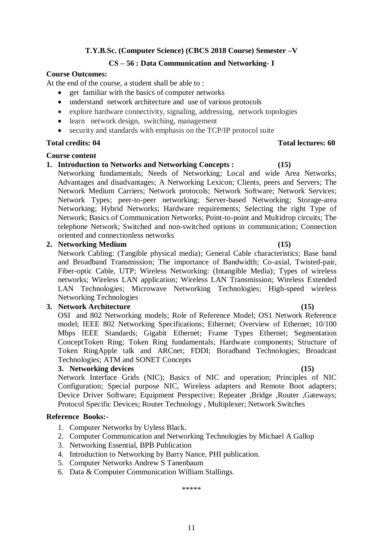# **CS – 56 : Data Communication and Networking- I**

# **Course Outcomes:**

At the end of the course, a student shall be able to :

- get familiar with the basics of computer networks
- understand network architecture and use of various protocols
- explore hardware connectivity, signaling, addressing, network topologies
- learn network design, switching, management
- security and standards with emphasis on the TCP/IP protocol suite

# **Total credits: 04 Total lectures: 60**

# **Course content**

**1. Introduction to Networks and Networking Concepts : (15)** 

Networking fundamentals; Needs of Networking; Local and wide Area Networks; Advantages and disadvantages; A Networking Lexicon; Clients, peers and Servers; The Network Medium Carriers; Network protocols; Network Software; Network Services; Network Types; peer-to-peer networking; Server-based Networking; Storage-area Networking; Hybrid Networks; Hardware requirements; Selecting the right Type of Network; Basics of Communication Networks; Point-to-point and Multidrop circuits; The telephone Network; Switched and non-switched options in communication; Connection oriented and connectionless networks

# **2. Networking Medium (15)**

Network Cabling: (Tangible physical media); General Cable characteristics; Base band and Broadband Transmission; The importance of Bandwidth; Co-axial, Twisted-pair, Fiber-optic Cable, UTP; Wireless Networking: (Intangible Media); Types of wireless networks; Wireless LAN application; Wireless LAN Transmission; Wireless Extended LAN Technologies; Microwave Networking Technologies; High-speed wireless Networking Technologies

# **3. Network Architecture (15)**

OSI and 802 Networking models; Role of Reference Model; OS1 Network Reference model; IEEE 802 Networking Specifications; Ethernet; Overview of Ethernet; 10/100 Mbps IEEE Standards; Gigabit Ethernet; Frame Types Ethernet; Segmentation ConceptToken Ring; Token Ring fundamentals; Hardware components; Structure of Token RingApple talk and ARCnet; FDDI; Boradband Technologies; Broadcast Technologies; ATM and SONET Concepts

# **3. Networking devices (15)**

Network Interface Grids (NIC); Basics of NIC and operation; Principles of NIC Configuration; Special purpose NIC, Wireless adapters and Remote Boot adapters; Device Driver Software; Equipment Perspective; Repeater ,Bridge ,Router ,Gateways; Protocol Specific Devices; Router Technology , Multiplexer; Network Switches

# **Reference Books:-**

- 1. Computer Networks by Uyless Black.
- 2. Computer Communication and Networking Technologies by Michael A Gallop
- 3. Networking Essential, BPB Publication
- 4. Introduction to Networking by Barry Nance, PHI publication.
- 5. Computer Networks Andrew S Tanenbaum
- 6. Data & Computer Communication William Stallings.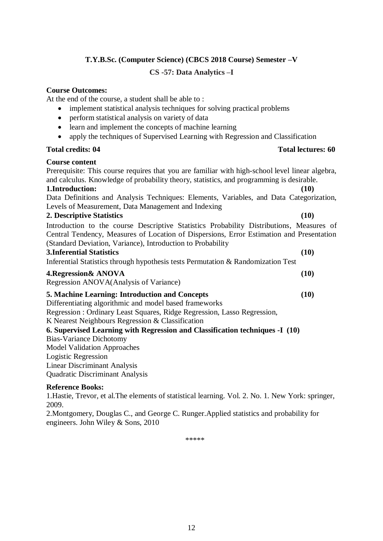# **CS -57: Data Analytics –I**

### **Course Outcomes:**

At the end of the course, a student shall be able to :

- implement statistical analysis techniques for solving practical problems
- perform statistical analysis on variety of data
- learn and implement the concepts of machine learning
- apply the techniques of Supervised Learning with Regression and Classification

#### **Total credits: 04 Total lectures: 60**

#### **Course content**

Prerequisite: This course requires that you are familiar with high-school level linear algebra, and calculus. Knowledge of probability theory, statistics, and programming is desirable. **1.Introduction: (10)** Data Definitions and Analysis Techniques: Elements, Variables, and Data Categorization, Levels of Measurement, Data Management and Indexing **2. Descriptive Statistics (10)**

Introduction to the course Descriptive Statistics Probability Distributions, Measures of Central Tendency, Measures of Location of Dispersions, Error Estimation and Presentation (Standard Deviation, Variance), Introduction to Probability

#### **3.Inferential Statistics (10)**

Inferential Statistics through hypothesis tests Permutation & Randomization Test

#### **4.Regression& ANOVA (10)**

Regression ANOVA(Analysis of Variance)

# **5. Machine Learning: Introduction and Concepts (10)**

Differentiating algorithmic and model based frameworks Regression : Ordinary Least Squares, Ridge Regression, Lasso Regression,

K Nearest Neighbours Regression & Classification

### **6. Supervised Learning with Regression and Classification techniques -I (10)**

Bias-Variance Dichotomy Model Validation Approaches Logistic Regression Linear Discriminant Analysis

Quadratic Discriminant Analysis

### **Reference Books:**

1.Hastie, Trevor, et al.The elements of statistical learning. Vol. 2. No. 1. New York: springer, 2009.

2.Montgomery, Douglas C., and George C. Runger.Applied statistics and probability for engineers. John Wiley & Sons, 2010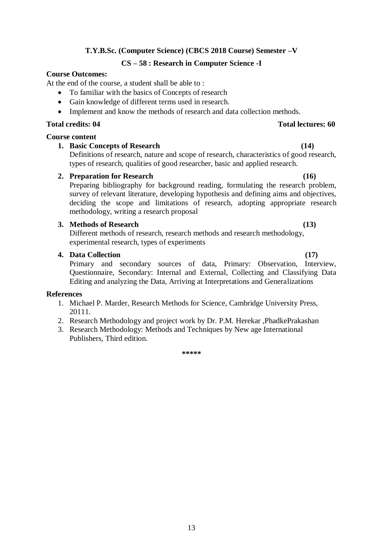# 13

# **T.Y.B.Sc. (Computer Science) (CBCS 2018 Course) Semester –V**

# **CS – 58 : Research in Computer Science -I**

# **Course Outcomes:**

At the end of the course, a student shall be able to :

- To familiar with the basics of Concepts of research
- Gain knowledge of different terms used in research.
- Implement and know the methods of research and data collection methods.

# **Total credits: 04 Total lectures: 60**

# **Course content**

# **1. Basic Concepts of Research (14)**

Definitions of research, nature and scope of research, characteristics of good research, types of research, qualities of good researcher, basic and applied research.

# **2. Preparation for Research (16)**

Preparing bibliography for background reading, formulating the research problem, survey of relevant literature, developing hypothesis and defining aims and objectives, deciding the scope and limitations of research, adopting appropriate research methodology, writing a research proposal

# **3. Methods of Research (13)**

Different methods of research, research methods and research methodology, experimental research, types of experiments

# **4. Data Collection (17)**

Primary and secondary sources of data, Primary: Observation, Interview, Questionnaire, Secondary: Internal and External, Collecting and Classifying Data Editing and analyzing the Data, Arriving at Interpretations and Generalizations

# **References**

- 1. Michael P. Marder, Research Methods for Science, Cambridge University Press, 20111.
- 2. Research Methodology and project work by Dr. P.M. Herekar ,PhadkePrakashan
- 3. Research Methodology: Methods and Techniques by New age International Publishers, Third edition.